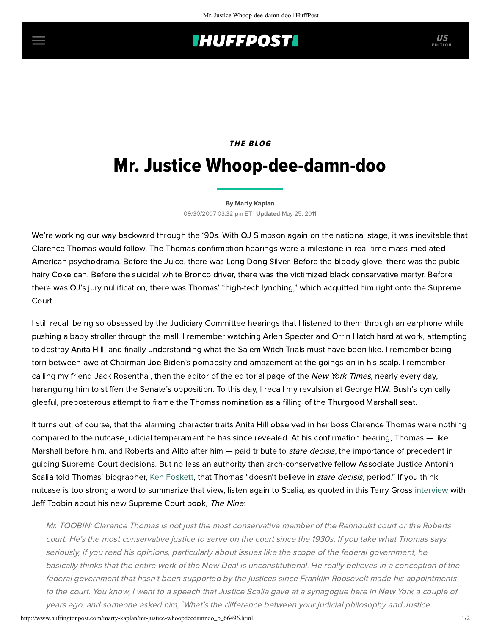## **INUFFPOSTI** US

### THE BLOG

# Mr. Justice Whoop-dee-damn-doo

#### [By Marty Kaplan](http://www.huffingtonpost.com/author/marty-kaplan)

09/30/2007 03:32 pm ET | Updated May 25, 2011

We're working our way backward through the '90s. With OJ Simpson again on the national stage, it was inevitable that Clarence Thomas would follow. The Thomas confirmation hearings were a milestone in real-time mass-mediated American psychodrama. Before the Juice, there was Long Dong Silver. Before the bloody glove, there was the pubichairy Coke can. Before the suicidal white Bronco driver, there was the victimized black conservative martyr. Before there was OJ's jury nullification, there was Thomas' "high-tech lynching," which acquitted him right onto the Supreme Court.

I still recall being so obsessed by the Judiciary Committee hearings that I listened to them through an earphone while pushing a baby stroller through the mall. I remember watching Arlen Specter and Orrin Hatch hard at work, attempting to destroy Anita Hill, and finally understanding what the Salem Witch Trials must have been like. I remember being torn between awe at Chairman Joe Biden's pomposity and amazement at the goings-on in his scalp. I remember calling my friend Jack Rosenthal, then the editor of the editorial page of the New York Times, nearly every day, haranguing him to stiffen the Senate's opposition. To this day, I recall my revulsion at George H.W. Bush's cynically gleeful, preposterous attempt to frame the Thomas nomination as a filling of the Thurgood Marshall seat.

It turns out, of course, that the alarming character traits Anita Hill observed in her boss Clarence Thomas were nothing compared to the nutcase judicial temperament he has since revealed. At his confirmation hearing, Thomas — like Marshall before him, and Roberts and Alito after him — paid tribute to *stare decisis*, the importance of precedent in guiding Supreme Court decisions. But no less an authority than arch-conservative fellow Associate Justice Antonin Scalia told Thomas' biographer, [Ken Foskett,](http://www.washingtonpost.com/wp-dyn/articles/A31117-2004Oct13.html) that Thomas "doesn't believe in *stare decisis*, period." If you think nutcase is too strong a word to summarize that view, listen again to Scalia, as quoted in this Terry Gross [interview](http://www6.lexisnexis.com/publisher/EndUser?Action=UserDisplayFullDocument&orgId=574&topicId=100020219&docId=l:672505840&start=6) with Jeff Toobin about his new Supreme Court book, The Nine:

Mr. TOOBIN: Clarence Thomas is not just the most conservative member of the Rehnquist court or the Roberts court. He's the most conservative justice to serve on the court since the 1930s. If you take what Thomas says seriously, if you read his opinions, particularly about issues like the scope of the federal government, he basically thinks that the entire work of the New Deal is unconstitutional. He really believes in a conception of the federal government that hasn't been supported by the justices since Franklin Roosevelt made his appointments to the court. You know, I went to a speech that Justice Scalia gave at a synagogue here in New York a couple of years ago, and someone asked him, `What's the difference between your judicial philosophy and Justice